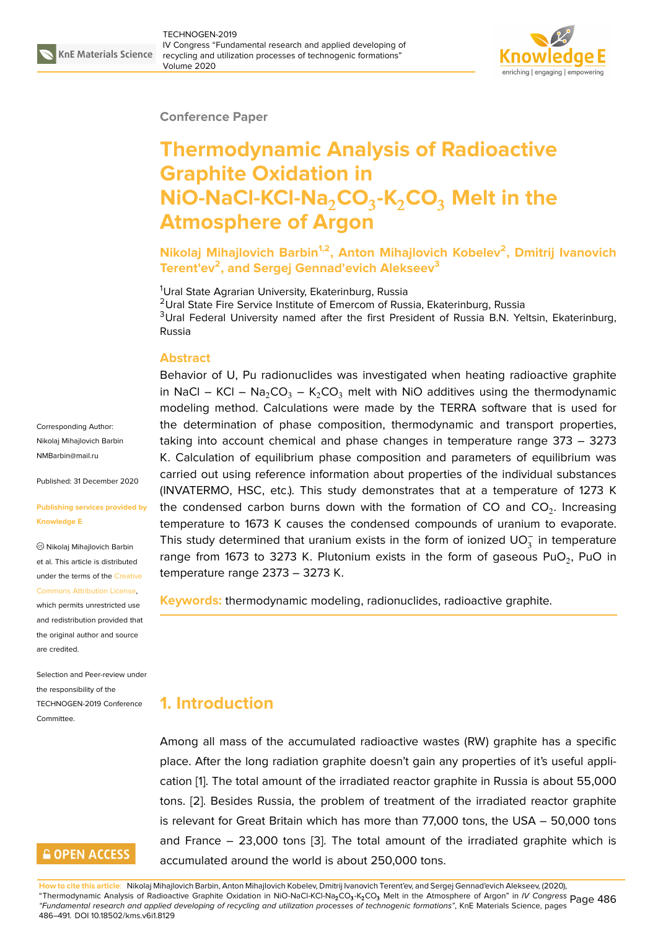

#### **Conference Paper**

# **Thermodynamic Analysis of Radioactive Graphite Oxidation in NiO-NaCl-KCl-Na**2**CO**<sup>3</sup> **-K**2**CO**<sup>3</sup> **Melt in the Atmosphere of Argon**

**Nikolaj Mihajlovich Barbin1,2, Anton Mihajlovich Kobelev<sup>2</sup> , Dmitrij Ivanovich Terent'ev<sup>2</sup> , and Sergej Gennad'evich Alekseev<sup>3</sup>**

<sup>1</sup>Ural State Agrarian University, Ekaterinburg, Russia <sup>2</sup>Ural State Fire Service Institute of Emercom of Russia, Ekaterinburg, Russia <sup>3</sup>Ural Federal University named after the first President of Russia B.N. Yeltsin, Ekaterinburg, Russia

#### **Abstract**

Behavior of U, Pu radionuclides was investigated when heating radioactive graphite in NaCl – KCl – Na<sub>2</sub>CO<sub>3</sub> – K<sub>2</sub>CO<sub>3</sub> melt with NiO additives using the thermodynamic modeling method. Calculations were made by the TERRA software that is used for the determination of phase composition, thermodynamic and transport properties, taking into account chemical and phase changes in temperature range 373 – 3273 K. Calculation of equilibrium phase composition and parameters of equilibrium was carried out using reference information about properties of the individual substances (INVATERMO, HSC, etc.). This study demonstrates that at a temperature of 1273 K the condensed carbon burns down with the formation of CO and CO<sub>2</sub>. Increasing temperature to 1673 K causes the condensed compounds of uranium to evaporate. This study determined that uranium exists in the form of ionized  $\mathsf{U}\mathsf{O}_3^-$  in temperature range from 1673 to 3273 K. Plutonium exists in the form of gaseous PuO<sub>2</sub>, PuO in temperature range 2373 – 3273 K.

**Keywords:** thermodynamic modeling, radionuclides, radioactive graphite.

## **1. Introduction**

Among all mass of the accumulated radioactive wastes (RW) graphite has a specific place. After the long radiation graphite doesn't gain any properties of it's useful application [1]. The total amount of the irradiated reactor graphite in Russia is about 55,000 tons. [2]. Besides Russia, the problem of treatment of the irradiated reactor graphite is relevant for Great Britain which has more than 77,000 tons, the USA – 50,000 tons and Fr[an](#page-4-0)ce – 23,000 tons [3]. The total amount of the irradiated graphite which is accu[mu](#page-4-1)lated around the world is about 250,000 tons.

**How to cite this article**: Nikolaj Mihajlovich Barbin, Anton Mihajlovich Kobelev, Dmitrij Ivanovich Terent'ev, and Sergej Gennad'evich Alekseev, (2020), "Thermodynamic Analysis of Radioactive Graphite Oxidation in NiO-NaCl-[KC](#page-4-2)l-Na2CO<sup>3</sup> -K2CO<sup>3</sup> Melt in the Atmosphere of Argon" in *IV Congress* Page 486 *"Fundamental research and applied developing of recycling and utilization processes of technogenic formations"*, KnE Materials Science, pages 486–491. DOI 10.18502/kms.v6i1.8129

Corresponding Author: Nikolaj Mihajlovich Barbin NMBarbin@mail.ru

Published: 31 December 2020

#### **[Publishing service](mailto:NMBarbin@mail.ru)s provided by Knowledge E**

Nikolaj Mihajlovich Barbin et al. This article is distributed under the terms of the Creative Commons Attribution License,

which permits unrestricted use and redistribution provided that the original author and [source](https://creativecommons.org/licenses/by/4.0/) [are credited.](https://creativecommons.org/licenses/by/4.0/)

Selection and Peer-review under the responsibility of the TECHNOGEN-2019 Conference Committee.

## **GOPEN ACCESS**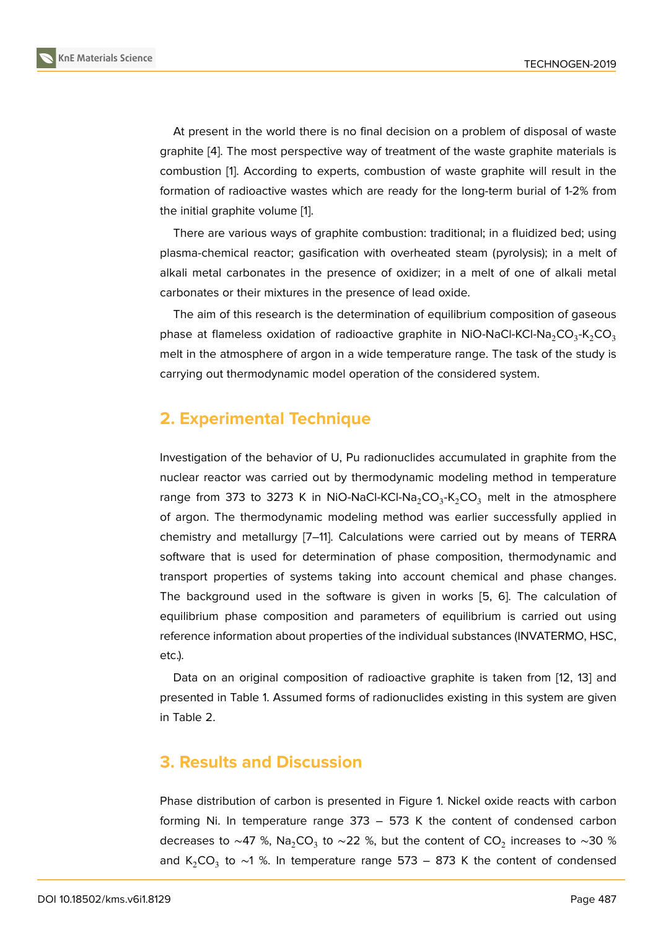At present in the world there is no final decision on a problem of disposal of waste graphite [4]. The most perspective way of treatment of the waste graphite materials is combustion [1]. According to experts, combustion of waste graphite will result in the formation of radioactive wastes which are ready for the long-term burial of 1-2% from the initial [g](#page-5-0)raphite volume [1].

There are [v](#page-4-0)arious ways of graphite combustion: traditional; in a fluidized bed; using plasma-chemical reactor; gasification with overheated steam (pyrolysis); in a melt of alkali metal carbonates in [t](#page-4-0)he presence of oxidizer; in a melt of one of alkali metal carbonates or their mixtures in the presence of lead oxide.

The aim of this research is the determination of equilibrium composition of gaseous phase at flameless oxidation of radioactive graphite in NiO-NaCl-KCl-Na $_2$ CO $_3$ -K $_2$ CO $_3$ melt in the atmosphere of argon in a wide temperature range. The task of the study is carrying out thermodynamic model operation of the considered system.

## **2. Experimental Technique**

Investigation of the behavior of U, Pu radionuclides accumulated in graphite from the nuclear reactor was carried out by thermodynamic modeling method in temperature range from 373 to 3273 K in NiO-NaCl-KCl-Na $_2$ CO $_3$ -K $_2$ CO $_3$  melt in the atmosphere of argon. The thermodynamic modeling method was earlier successfully applied in chemistry and metallurgy [7–11]. Calculations were carried out by means of TERRA software that is used for determination of phase composition, thermodynamic and transport properties of systems taking into account chemical and phase changes. The background used in [th](#page-5-1)[e s](#page-5-2)oftware is given in works [5, 6]. The calculation of equilibrium phase composition and parameters of equilibrium is carried out using reference information about properties of the individual substances (INVATERMO, HSC, etc.).

Data on an original composition of radioactive graphite is taken from [12, 13] and presented in Table 1. Assumed forms of radionuclides existing in this system are given in Table 2.

## **3. Results and Discussion**

Phase distribution of carbon is presented in Figure 1. Nickel oxide reacts with carbon forming Ni. In temperature range 373 – 573 K the content of condensed carbon decreases to ~47 %, Na $_2$ CO $_3$  to ~22 %, but the content of CO $_2$  increases to ~30 % and K<sub>2</sub>CO<sub>3</sub> to ~1 %. In temperature range 573 – [8](#page-3-0)73 K the content of condensed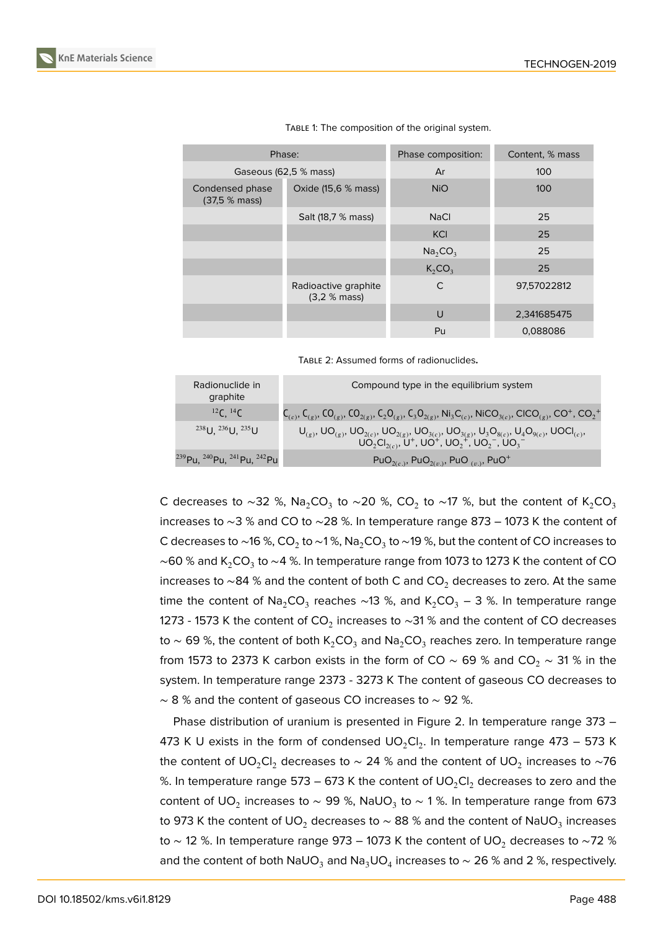| Phase:                          |                                      | Phase composition:              | Content, % mass |  |
|---------------------------------|--------------------------------------|---------------------------------|-----------------|--|
| Gaseous (62,5 % mass)           |                                      | Ar                              | 100             |  |
| Condensed phase<br>(37.5 % mas) | Oxide (15,6 % mass)                  | <b>NiO</b>                      | 100             |  |
|                                 | Salt (18,7 % mass)                   | <b>NaCl</b>                     | 25              |  |
|                                 |                                      | <b>KCI</b>                      | 25              |  |
|                                 |                                      | Na <sub>2</sub> CO <sub>3</sub> | 25              |  |
|                                 |                                      | K <sub>2</sub> CO <sub>3</sub>  | 25              |  |
|                                 | Radioactive graphite<br>(3,2 % mass) | $\mathsf{C}$                    | 97,57022812     |  |
|                                 |                                      | U                               | 2,341685475     |  |
|                                 |                                      | Pu                              | 0,088086        |  |

|  | TABLE 1: The composition of the original system. |  |  |
|--|--------------------------------------------------|--|--|
|  |                                                  |  |  |

TABLE 2: Assumed forms of radionuclides**.**

| Radionuclide in<br>graphite                                                | Compound type in the equilibrium system                                                                                                                                                                          |
|----------------------------------------------------------------------------|------------------------------------------------------------------------------------------------------------------------------------------------------------------------------------------------------------------|
| $^{12}C, ^{14}C$                                                           | $C_{(c)}$ , $C_{(g)}$ , $CO_{(g)}$ , $CO_{2(g)}$ , $C_2O_{(g)}$ , $C_3O_{2(g)}$ , Ni <sub>3</sub> $C_{(c)}$ , Ni $CO_{3(c)}$ , CICO <sub><math>(g)</math></sub> , CO <sup>+</sup> , CO <sub>2</sub> <sup>+</sup> |
| $^{238}$ U, $^{236}$ U, $^{235}$ U                                         | $U_{(g)}, UO_{(g)}, UO_{2(c)}, UO_{2(g)}, UO_{3(c)}, UO_{3(g)}, U_3O_{8(c)}, U_4O_{9(c)}, UO_{1(c)},$<br>$UO_2Cl_{2(c)}, U^+$ , $UO^+$ , $UO_2^+$ , $UO_2^-$ , $UO_3^-$                                          |
| <sup>239</sup> Pu, <sup>240</sup> Pu, <sup>241</sup> Pu, <sup>242</sup> Pu | PuO <sub>2(c.)</sub> , PuO <sub>2(v.)</sub> , PuO <sub>(v.)</sub> , PuO <sup>+</sup>                                                                                                                             |

C decreases to ~32 %, Na $_2$ CO $_3$  to ~20 %, CO $_2$  to ~17 %, but the content of K $_2$ CO $_3$ increases to ∼3 % and CO to ∼28 %. In temperature range 873 – 1073 K the content of C decreases to ~16 %, CO $_2$  to ~1 %, Na $_2$ CO $_3$  to ~19 %, but the content of CO increases to  $\sim$ 60 % and K $_2$ CO $_3$  to  $\sim$ 4 %. In temperature range from 1073 to 1273 K the content of CO increases to ~84 % and the content of both C and CO<sub>2</sub> decreases to zero. At the same time the content of  $\mathsf{Na}_2\mathsf{CO}_3$  reaches ∼13 %, and K $_2\mathsf{CO}_3$  – 3 %. In temperature range 1273 - 1573 K the content of CO $_2$  increases to ∼31 % and the content of CO decreases to  $\sim$  69 %, the content of both K $_2$ CO $_3$  and Na $_2$ CO $_3$  reaches zero. In temperature range from 1573 to 2373 K carbon exists in the form of CO ~ 69 % and CO<sub>2</sub> ~ 31 % in the system. In temperature range 2373 - 3273 K The content of gaseous CO decreases to  $~\sim$  8 % and the content of gaseous CO increases to  $~\sim$  92 %.

Phase distribution of uranium is presented in Figure 2. In temperature range 373 – 473 K U exists in the form of condensed  $\mathsf{UO_2Cl_2}.$  In temperature range 473 – 573 K the content of UO $_2$ Cl $_2$  decreases to  $\sim$  24 % and the content of UO $_2$  increases to  $\sim$ 76 %. In temperature range 573 – 673 K the content of  $\text{UO}_2\text{Cl}_2$  $\text{UO}_2\text{Cl}_2$  $\text{UO}_2\text{Cl}_2$  decreases to zero and the content of UO $_2$  increases to  $\sim$  99 %, NaUO $_3$  to  $\sim$  1 %. In temperature range from 673 to 973 K the content of UO $_2$  decreases to  $\sim$  88 % and the content of NaUO $_3$  increases to ~ 12 %. In temperature range 973 – 1073 K the content of UO<sub>2</sub> decreases to ~72 % and the content of both NaUO $_3$  and Na $_3$ UO $_4$  increases to  $\sim$  26 % and 2 %, respectively.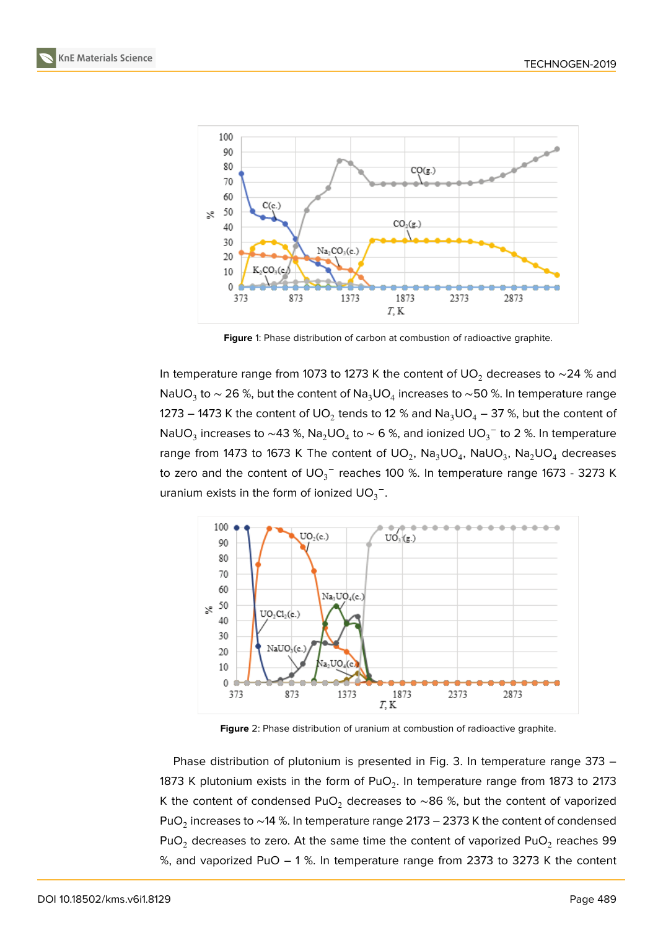





<span id="page-3-0"></span>**Figure** 1: Phase distribution of carbon at combustion of radioactive graphite.

In temperature range from 1073 to 1273 K the content of UO<sub>2</sub> decreases to ~24 % and NaUO $_3$  to  $\sim$  26 %, but the content of Na $_3$ UO $_4$  increases to  $\sim$ 50 %. In temperature range 1273 – 1473 K the content of UO $_2$  tends to 12 % and Na $_3$ UO $_4$  – 37 %, but the content of NaUO $_3$  increases to  $\sim$ 43 %, Na $_2$ UO $_4$  to  $\sim$  6 %, and ionized UO $_3^-$  to 2 %. In temperature range from 1473 to 1673 K The content of UO $_2$ , Na $_3$ UO $_4$ , NaUO $_3$ , Na $_2$ UO $_4$  decreases to zero and the content of  $\mathsf{UO_3}^-$  reaches 100 %. In temperature range 1673 - 3273 K uranium exists in the form of ionized  $\mathsf{U}\mathsf{O}_3^{\mathrm{-}}$ .



<span id="page-3-1"></span>**Figure** 2: Phase distribution of uranium at combustion of radioactive graphite.

Phase distribution of plutonium is presented in Fig. 3. In temperature range 373 – 1873 K plutonium exists in the form of PuO<sub>2</sub>. In temperature range from 1873 to 2173 K the content of condensed PuO<sub>2</sub> decreases to ~86 %, but the content of vaporized PuO $_2$  increases to ~14 %. In temperature range 2173 – 2373 K the content of condensed PuO $_2$  decreases to zero. At the same time the content of vaporized PuO $_2$  reaches 99  $\,$ %, and vaporized PuO – 1 %. In temperature range from 2373 to 3273 K the content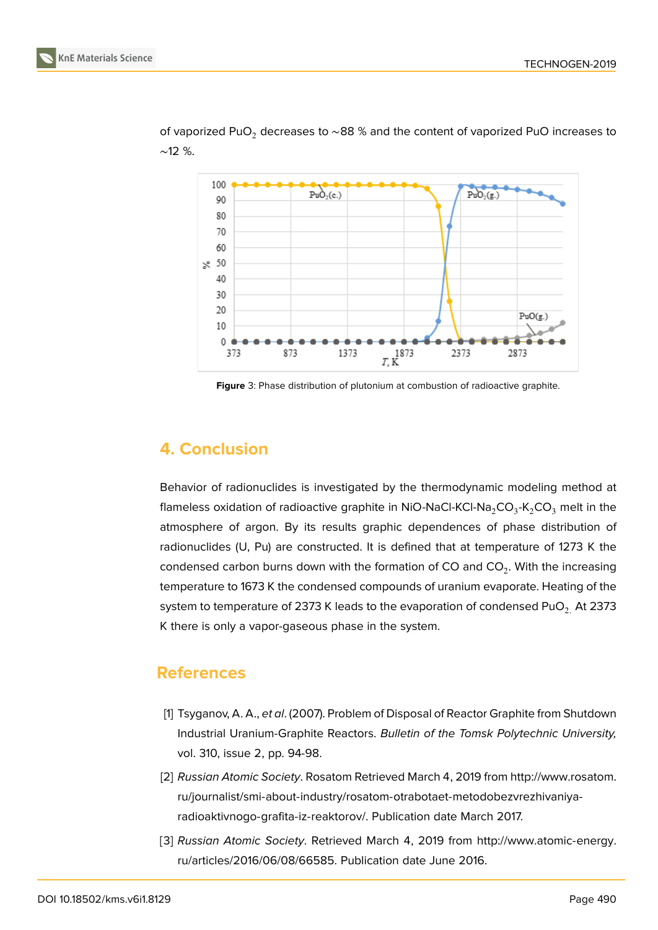

of vaporized PuO<sub>2</sub> decreases to ~88 % and the content of vaporized PuO increases to ∼12 %.

**Figure** 3: Phase distribution of plutonium at combustion of radioactive graphite.

#### **4. Conclusion**

Behavior of radionuclides is investigated by the thermodynamic modeling method at flameless oxidation of radioactive graphite in NiO-NaCl-KCl-Na $_2$ CO $_3$ -K $_2$ CO $_3$  melt in the atmosphere of argon. By its results graphic dependences of phase distribution of radionuclides (U, Pu) are constructed. It is defined that at temperature of 1273 K the condensed carbon burns down with the formation of CO and CO $_2$ . With the increasing temperature to 1673 K the condensed compounds of uranium evaporate. Heating of the system to temperature of 2373 K leads to the evaporation of condensed PuO<sub>2</sub>. At 2373 K there is only a vapor-gaseous phase in the system.

#### **References**

- [1] Tsyganov, A. A., *et al*. (2007). Problem of Disposal of Reactor Graphite from Shutdown Industrial Uranium-Graphite Reactors. *Bulletin of the Tomsk Polytechnic University,* vol. 310, issue 2, pp. 94-98.
- <span id="page-4-0"></span>[2] *Russian Atomic Society*. Rosatom Retrieved March 4, 2019 from http://www.rosatom. ru/journalist/smi-about-industry/rosatom-otrabotaet-metodobezvrezhivaniyaradioaktivnogo-grafita-iz-reaktorov/. Publication date March 2017.
- <span id="page-4-2"></span><span id="page-4-1"></span>[3] *Russian Atomic Society*. Retrieved March 4, 2019 from http://[www.atomic-energy.](http://www.rosatom.ru/journalist/smi-about-industry/rosatom-otrabotaet-metod obezvrezhivaniya-radioaktivnogo-grafita-iz-reaktorov/) [ru/articles/2016/06/08/66585.](http://www.rosatom.ru/journalist/smi-about-industry/rosatom-otrabotaet-metod obezvrezhivaniya-radioaktivnogo-grafita-iz-reaktorov/) Publication date June 2016.